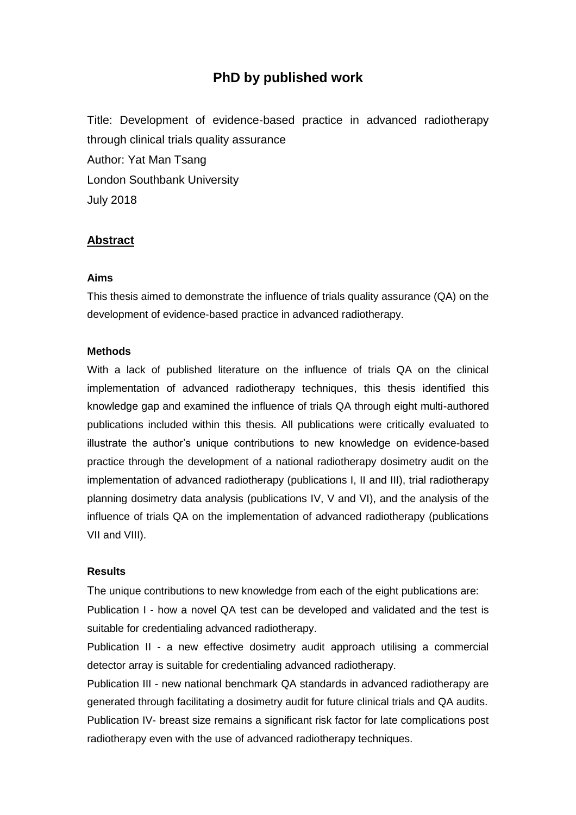# **PhD by published work**

Title: Development of evidence-based practice in advanced radiotherapy through clinical trials quality assurance Author: Yat Man Tsang London Southbank University July 2018

# **Abstract**

# **Aims**

This thesis aimed to demonstrate the influence of trials quality assurance (QA) on the development of evidence-based practice in advanced radiotherapy.

#### **Methods**

With a lack of published literature on the influence of trials QA on the clinical implementation of advanced radiotherapy techniques, this thesis identified this knowledge gap and examined the influence of trials QA through eight multi-authored publications included within this thesis. All publications were critically evaluated to illustrate the author's unique contributions to new knowledge on evidence-based practice through the development of a national radiotherapy dosimetry audit on the implementation of advanced radiotherapy (publications I, II and III), trial radiotherapy planning dosimetry data analysis (publications IV, V and VI), and the analysis of the influence of trials QA on the implementation of advanced radiotherapy (publications VII and VIII).

### **Results**

The unique contributions to new knowledge from each of the eight publications are:

Publication I - how a novel QA test can be developed and validated and the test is suitable for credentialing advanced radiotherapy.

Publication II - a new effective dosimetry audit approach utilising a commercial detector array is suitable for credentialing advanced radiotherapy.

Publication III - new national benchmark QA standards in advanced radiotherapy are generated through facilitating a dosimetry audit for future clinical trials and QA audits. Publication IV- breast size remains a significant risk factor for late complications post radiotherapy even with the use of advanced radiotherapy techniques.